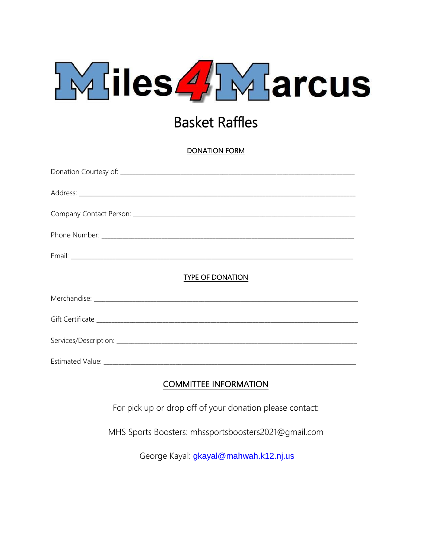

## **Basket Raffles**

**DONATION FORM** 

| <b>TYPE OF DONATION</b> |
|-------------------------|
|                         |
|                         |
|                         |
|                         |

## **COMMITTEE INFORMATION**

For pick up or drop off of your donation please contact:

MHS Sports Boosters: mhssportsboosters2021@gmail.com

George Kayal: gkayal@mahwah.k12.nj.us